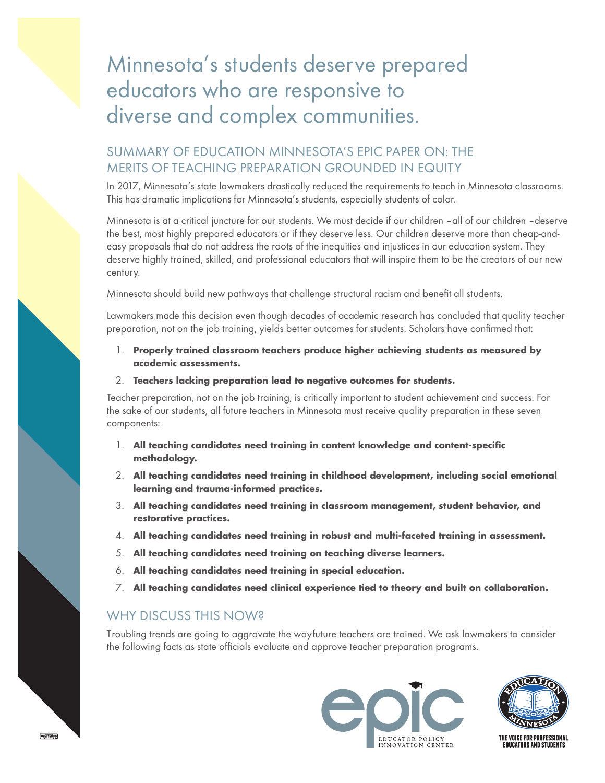## Minnesota's students deserve prepared educators who are responsive to diverse and complex communities.

## SUMMARY OF EDUCATION MINNESOTA'S EPIC PAPER ON: THE MERITS OF TEACHING PREPARATION GROUNDED IN EQUITY

In 2017, Minnesota's state lawmakers drastically reduced the requirements to teach in Minnesota classrooms. This has dramatic implications for Minnesota's students, especially students of color.

Minnesota is at a critical juncture for our students. We must decide if our children – all of our children – deserve the best, most highly prepared educators or if they deserve less. Our children deserve more than cheap-andeasy proposals that do not address the roots of the inequities and injustices in our education system. They deserve highly trained, skilled, and professional educators that will inspire them to be the creators of our new century.

Minnesota should build new pathways that challenge structural racism and benefit all students.

Lawmakers made this decision even though decades of academic research has concluded that quality teacher preparation, not on the job training, yields better outcomes for students. Scholars have confirmed that:

- 1. **Properly trained classroom teachers produce higher achieving students as measured by academic assessments.**
- 2. **Teachers lacking preparation lead to negative outcomes for students.**

Teacher preparation, not on the job training, is critically important to student achievement and success. For the sake of our students, all future teachers in Minnesota must receive quality preparation in these seven components:

- 1. **All teaching candidates need training in content knowledge and content-specific methodology.**
- 2. **All teaching candidates need training in childhood development, including social emotional learning and trauma-informed practices.**
- 3. **All teaching candidates need training in classroom management, student behavior, and restorative practices.**
- 4. **All teaching candidates need training in robust and multi-faceted training in assessment.**
- 5. **All teaching candidates need training on teaching diverse learners.**
- 6. **All teaching candidates need training in special education.**
- 7. **All teaching candidates need clinical experience tied to theory and built on collaboration.**

## WHY DISCUSS THIS NOW?

Troubling trends are going to aggravate the wayfuture teachers are trained. We ask lawmakers to consider the following facts as state officials evaluate and approve teacher preparation programs.